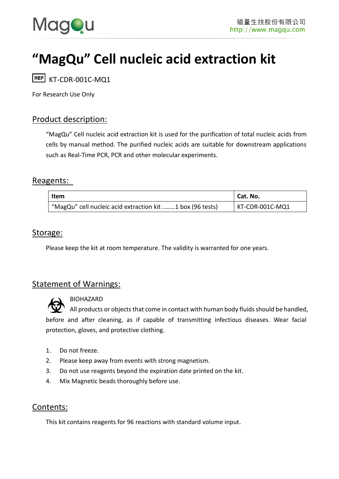

# **"MagQu" Cell nucleic acid extraction kit**

REF KT-CDR-001C-MQ1

For R*e*search Use Only

### Product description:

"MagQu" Cell nucleic acid extraction kit is used for the purification of total nucleic acids from cells by manual method. The purified nucleic acids are suitable for downstream applications such as Real-Time PCR, PCR and other molecular experiments.

#### Reagents:

| <b>Item</b>                                               | Cat. No.        |
|-----------------------------------------------------------|-----------------|
| "MagQu" cell nucleic acid extraction kit 1 box (96 tests) | KT-CDR-001C-MQ1 |

#### Storage:

Please keep the kit at room temperature. The validity is warranted for one years.

### Statement of Warnings:



BIOHAZARD

All products or objects that come in contact with human body fluids should be handled, before and after cleaning, as if capable of transmitting infectious diseases. Wear facial protection, gloves, and protective clothing.

- 1. Do not freeze.
- 2. Please keep away from events with strong magnetism.
- 3. Do not use reagents beyond the expiration date printed on the kit.
- 4. Mix Magnetic beads thoroughly before use.

### Contents:

This kit contains reagents for 96 reactions with standard volume input.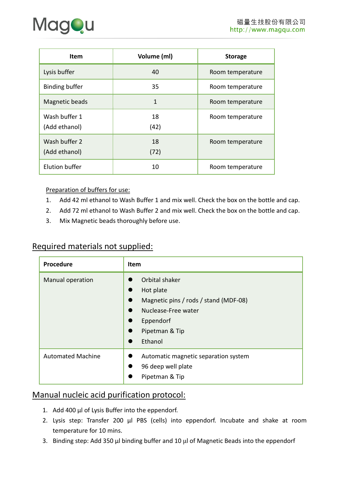

| <b>Item</b>                    | Volume (ml) | <b>Storage</b>   |
|--------------------------------|-------------|------------------|
| Lysis buffer                   | 40          | Room temperature |
| <b>Binding buffer</b>          | 35          | Room temperature |
| Magnetic beads                 | 1           | Room temperature |
| Wash buffer 1<br>(Add ethanol) | 18<br>(42)  | Room temperature |
| Wash buffer 2<br>(Add ethanol) | 18<br>(72)  | Room temperature |
| Elution buffer                 | 10          | Room temperature |

Preparation of buffers for use:

- 1. Add 42 ml ethanol to Wash Buffer 1 and mix well. Check the box on the bottle and cap.
- 2. Add 72 ml ethanol to Wash Buffer 2 and mix well. Check the box on the bottle and cap.
- 3. Mix Magnetic beads thoroughly before use.

### Required materials not supplied:

| Procedure                | <b>Item</b>                                                                                                                           |
|--------------------------|---------------------------------------------------------------------------------------------------------------------------------------|
| Manual operation         | Orbital shaker<br>Hot plate<br>Magnetic pins / rods / stand (MDF-08)<br>Nuclease-Free water<br>Eppendorf<br>Pipetman & Tip<br>Ethanol |
| <b>Automated Machine</b> | Automatic magnetic separation system<br>96 deep well plate<br>Pipetman & Tip                                                          |

# Manual nucleic acid purification protocol:

- 1. Add 400 μl of Lysis Buffer into the eppendorf.
- 2. Lysis step: Transfer 200 μl PBS (cells) into eppendorf. Incubate and shake at room temperature for 10 mins.
- 3. Binding step: Add 350 μl binding buffer and 10 μl of Magnetic Beads into the eppendorf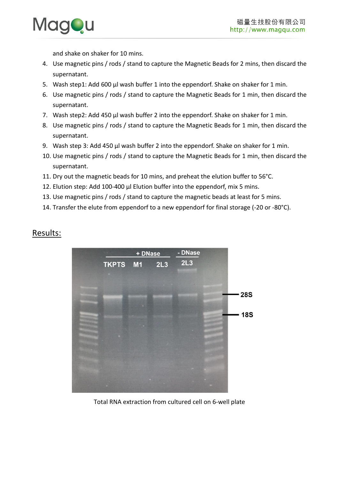

and shake on shaker for 10 mins.

- 4. Use magnetic pins / rods / stand to capture the Magnetic Beads for 2 mins, then discard the supernatant.
- 5. Wash step1: Add 600 μl wash buffer 1 into the eppendorf. Shake on shaker for 1 min.
- 6. Use magnetic pins / rods / stand to capture the Magnetic Beads for 1 min, then discard the supernatant.
- 7. Wash step2: Add 450 μl wash buffer 2 into the eppendorf. Shake on shaker for 1 min.
- 8. Use magnetic pins / rods / stand to capture the Magnetic Beads for 1 min, then discard the supernatant.
- 9. Wash step 3: Add 450 μl wash buffer 2 into the eppendorf. Shake on shaker for 1 min.
- 10. Use magnetic pins / rods / stand to capture the Magnetic Beads for 1 min, then discard the supernatant.
- 11. Dry out the magnetic beads for 10 mins, and preheat the elution buffer to 56°C.
- 12. Elution step: Add 100-400 μl Elution buffer into the eppendorf, mix 5 mins.
- 13. Use magnetic pins / rods / stand to capture the magnetic beads at least for 5 mins.
- 14. Transfer the elute from eppendorf to a new eppendorf for final storage (-20 or -80°C).



### Results:

Total RNA extraction from cultured cell on 6-well plate